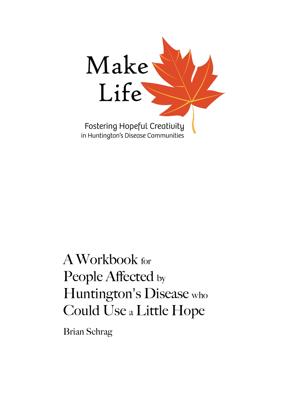

# A Workbook for People Affected by Huntington's Disease who Could Use <sup>a</sup> Little Hope

Brian Schrag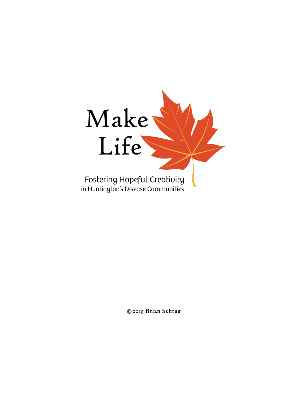

©2015 Brian Schrag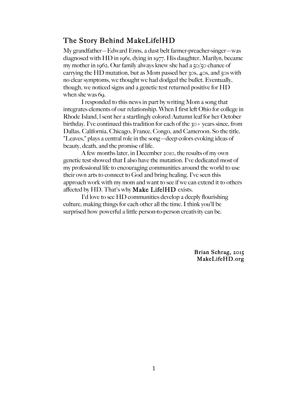#### The Story Behind MakeLife|HD

My grandfather—Edward Enns, a dust belt farmer-preacher-singer—was diagnosed with HD in 1961, dying in 1977. His daughter, Marilyn, became my mother in 1962. Our family always knew she had a 50/50 chance of carrying the HD mutation, but as Mom passed her 30s, 40s, and 50s with no clear symptoms, we thought we had dodged the bullet. Eventually, though, we noticed signs and a genetic test returned positive for HD when she was 69.

I responded to this news in part by writing Mom a song that integrates elements of our relationship. When I first left Ohio for college in Rhode Island, l sent her a startlingly colored Autumn leaf for her October birthday. I've continued this tradition for each of the 30+ years since, from Dallas, California, Chicago, France, Congo, and Cameroon. So the title, "Leaves," plays a central role in the song—deep colors evoking ideas of beauty, death, and the promise of life.

A few months later, in December 2010, the results of my own genetic test showed that I also have the mutation. I've dedicated most of my professional life to encouraging communities around the world to use their own arts to connect to God and bring healing. I've seen this approach work with my mom and want to see if we can extend it to others affected by HD. That's why **Make Life** $HD$  exists.

I'd love to see HD communities develop a deeply flourishing culture, making things for each other all the time. I think you'll be surprised how powerful a little person-to-person creativity can be.

> Brian Schrag, 2015 MakeLifeHD.org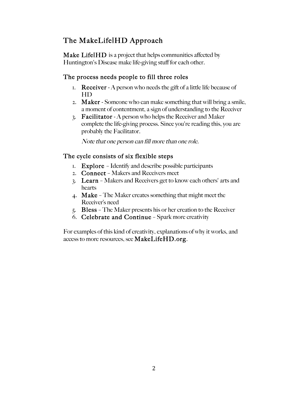# The MakeLife|HD Approach

Make Life|HD is a project that helps communities affected by Huntington's Disease make life-giving stuff for each other.

#### The process needs people to fill three roles

- 1. **Receiver** A person who needs the gift of a little life because of HD
- 2. Maker Someone who can make something that will bring a smile, a moment of contentment, a sign of understanding to the Receiver
- 3. Facilitator A person who helps the Receiver and Maker complete the life-giving process. Since you're reading this, you are probably the Facilitator.

Note that one person can fill more than one role.

#### The cycle consists of six flexible steps

- 1. Explore Identify and describe possible participants
- 2. Connect Makers and Receivers meet
- 3. Learn Makers and Receivers get to know each others' arts and hearts
- 4. Make The Maker creates something that might meet the Receiver's need
- 5. Bless The Maker presents his or her creation to the Receiver
- 6. Celebrate and Continue Spark more creativity

For examples of this kind of creativity, explanations of why it works, and access to more resources, see MakeLifeHD.org.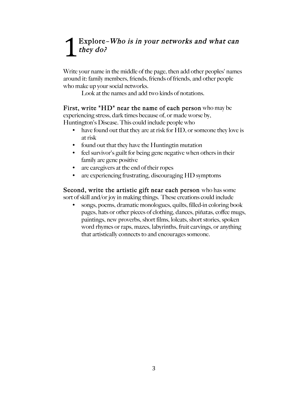# Explore–Who is in your networks and what can they do? 1

Write your name in the middle of the page, then add other peoples' names around it: family members, friends, friends of friends, and other people who make up your social networks.

Look at the names and add two kinds of notations.

#### First, write "HD" near the name of each person who may be

experiencing stress, dark times because of, or made worse by, Huntington's Disease. This could include people who

- have found out that they are at risk for HD, or someone they love is at risk
- found out that they have the Huntingtin mutation
- feel survivor's guilt for being gene negative when others in their family are gene positive
- are caregivers at the end of their ropes
- are experiencing frustrating, discouraging HD symptoms

Second, write the artistic gift near each person who has some sort of skill and/or joy in making things. These creations could include

• songs, poems, dramatic monologues, quilts, filled-in coloring book pages, hats or other pieces of clothing, dances, piñatas, coffee mugs, paintings, new proverbs, short films, lolcats, short stories, spoken word rhymes or raps, mazes, labyrinths, fruit carvings, or anything that artistically connects to and encourages someone.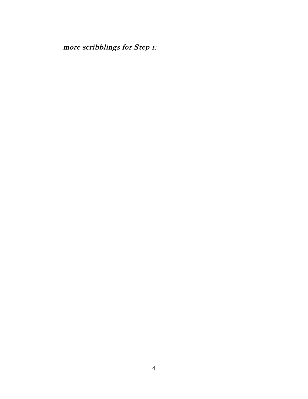more scribblings for Step 1: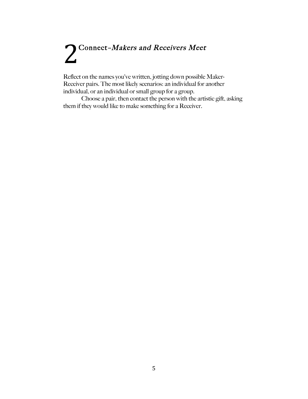# 2 Connect-Makers and Receivers Meet

Reflect on the names you've written, jotting down possible Maker-Receiver pairs. The most likely scenarios: an individual for another individual, or an individual or small group for a group.

Choose a pair, then contact the person with the artistic gift, asking them if they would like to make something for a Receiver.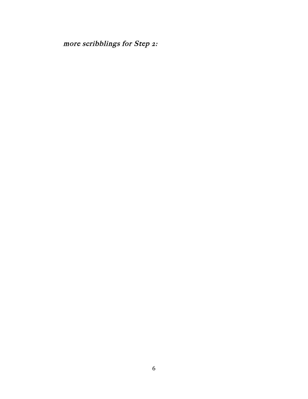more scribblings for Step 2: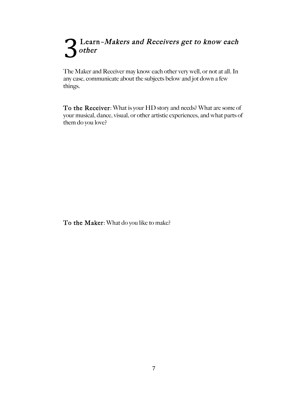# **Learn-Makers and Receivers get to know each** other 3

The Maker and Receiver may know each other very well, or not at all. In any case, communicate about the subjects below and jot down a few things.

To the Receiver: What is your HD story and needs? What are some of your musical, dance, visual, or other artistic experiences, and what parts of them do you love?

To the Maker: What do you like to make?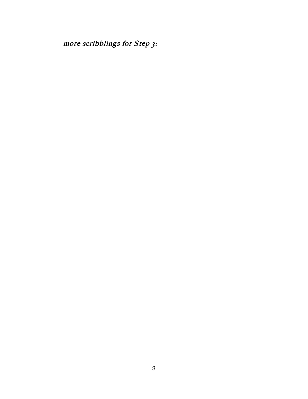more scribblings for Step 3: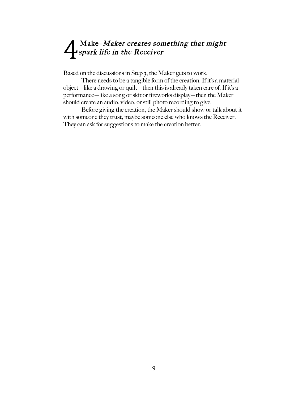# Make–Maker creates something that might spark life in the Receiver 4

Based on the discussions in Step 3, the Maker gets to work.

There needs to be a tangible form of the creation. If it's a material object—like a drawing or quilt—then this is already taken care of. If it's a performance—like a song or skit or fireworks display—then the Maker should create an audio, video, or still photo recording to give.

Before giving the creation, the Maker should show or talk about it with someone they trust, maybe someone else who knows the Receiver. They can ask for suggestions to make the creation better.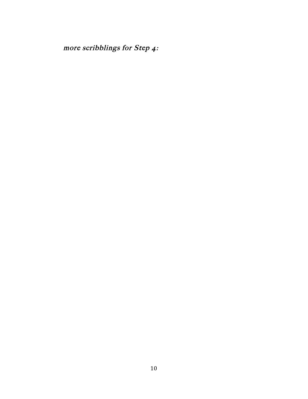more scribblings for Step 4: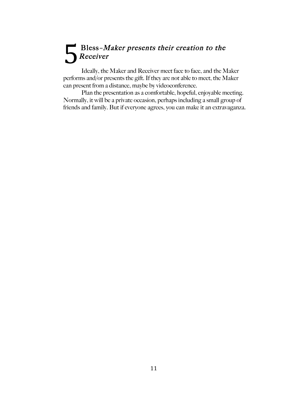# $\blacksquare$  Bless-Maker presents their creation to the Receiver 5

Ideally, the Maker and Receiver meet face to face, and the Maker performs and/or presents the gift. If they are not able to meet, the Maker can present from a distance, maybe by videoconference.

Plan the presentation as a comfortable, hopeful, enjoyable meeting. Normally, it will be a private occasion, perhaps including a small group of friends and family. But if everyone agrees, you can make it an extravaganza.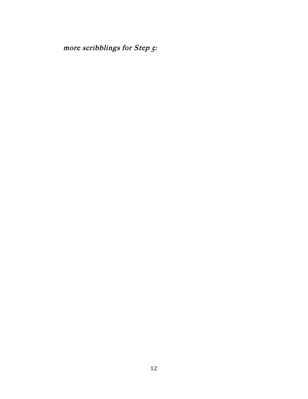more scribblings for Step 5: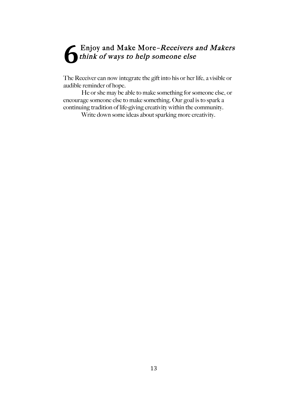### Enjoy and Make More–Receivers and Makers think of ways to help someone else **6**

The Receiver can now integrate the gift into his or her life, a visible or audible reminder of hope.

He or she may be able to make something for someone else, or encourage someone else to make something. Our goal is to spark a continuing tradition of life-giving creativity within the community.

Write down some ideas about sparking more creativity.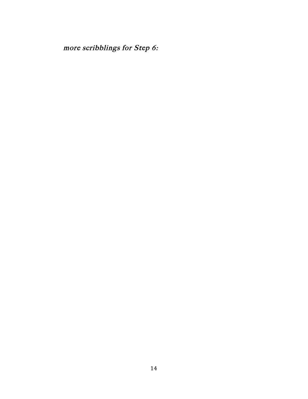more scribblings for Step 6: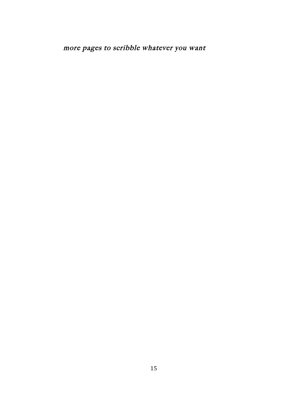more pages to scribble whatever you want